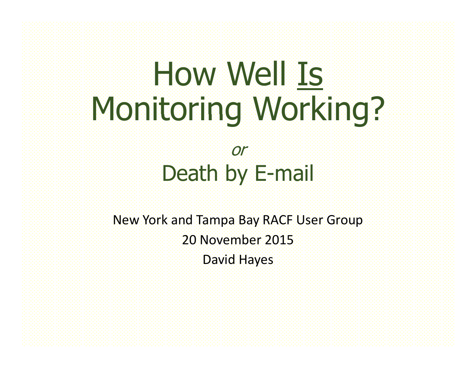# How Well Is Monitoring Working?

#### or Death by E-mail

New York and Tampa Bay RACF User Group 20 November 2015David Hayes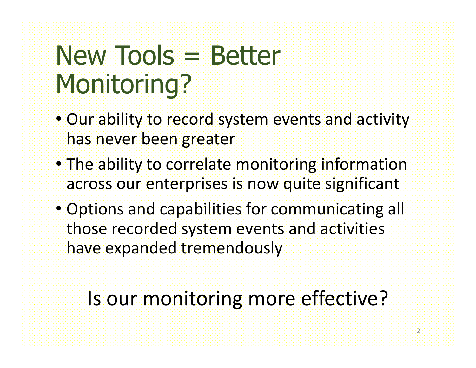## New Tools = Better Monitoring?

- Our ability to record system events and activity has never been greater
- The ability to correlate monitoring information across our enterprises is now quite significant
- Options and capabilities for communicating all those recorded system events and activities have expanded tremendously

#### Is our monitoring more effective?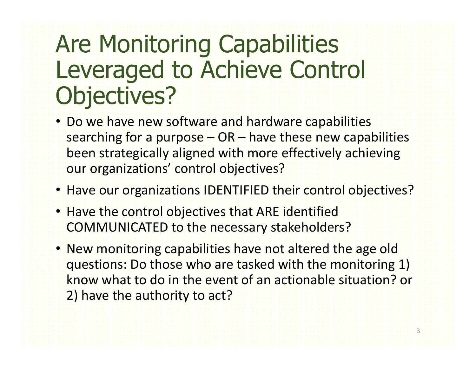### Are Monitoring Capabilities Leveraged to Achieve Control Objectives?

- Do we have new software and hardware capabilities searching for a purpose  $- OR -$  have these new capabilities been strategically aligned with more effectively achieving our organizations' control objectives?
- Have our organizations IDENTIFIED their control objectives?
- Have the control objectives that ARE identified COMMUNICATED to the necessary stakeholders?
- New monitoring capabilities have not altered the age old questions: Do those who are tasked with the monitoring 1) know what to do in the event of an actionable situation? or 2) have the authority to act?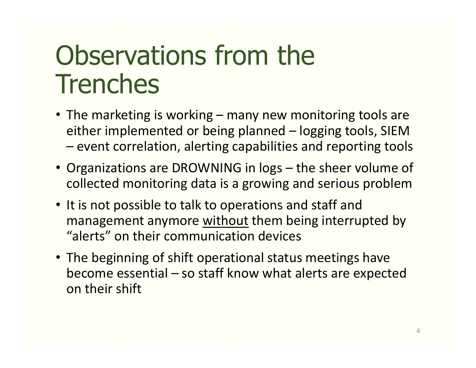## Observations from the **Trenches**

- The marketing is working –– many new monitoring tools are either implemented or being planned – logging tools, SIEM –event correlation, alerting capabilities and reporting tools
- Organizations are DROWNING in logs – the sheer volume of collected monitoring data is a growing and serious problem
- It is not possible to talk to operations and staff and management anymore without them being interrupted by "alerts" on their communication devices
- The beginning of shift operational status meetings have become essential – so staff know what alerts are expected on their shift